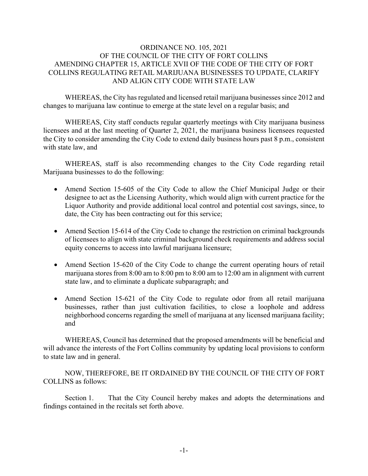## ORDINANCE NO. 105, 2021 OF THE COUNCIL OF THE CITY OF FORT COLLINS AMENDING CHAPTER 15, ARTICLE XVII OF THE CODE OF THE CITY OF FORT COLLINS REGULATING RETAIL MARIJUANA BUSINESSES TO UPDATE, CLARIFY AND ALIGN CITY CODE WITH STATE LAW

 WHEREAS, the City has regulated and licensed retail marijuana businesses since 2012 and changes to marijuana law continue to emerge at the state level on a regular basis; and

WHEREAS, City staff conducts regular quarterly meetings with City marijuana business licensees and at the last meeting of Quarter 2, 2021, the marijuana business licensees requested the City to consider amending the City Code to extend daily business hours past 8 p.m., consistent with state law, and

WHEREAS, staff is also recommending changes to the City Code regarding retail Marijuana businesses to do the following:

- Amend Section 15-605 of the City Code to allow the Chief Municipal Judge or their designee to act as the Licensing Authority, which would align with current practice for the Liquor Authority and provide additional local control and potential cost savings, since, to date, the City has been contracting out for this service;
- Amend Section 15-614 of the City Code to change the restriction on criminal backgrounds of licensees to align with state criminal background check requirements and address social equity concerns to access into lawful marijuana licensure;
- Amend Section 15-620 of the City Code to change the current operating hours of retail marijuana stores from 8:00 am to 8:00 pm to 8:00 am to 12:00 am in alignment with current state law, and to eliminate a duplicate subparagraph; and
- Amend Section 15-621 of the City Code to regulate odor from all retail marijuana businesses, rather than just cultivation facilities, to close a loophole and address neighborhood concerns regarding the smell of marijuana at any licensed marijuana facility; and

 WHEREAS, Council has determined that the proposed amendments will be beneficial and will advance the interests of the Fort Collins community by updating local provisions to conform to state law and in general.

 NOW, THEREFORE, BE IT ORDAINED BY THE COUNCIL OF THE CITY OF FORT COLLINS as follows:

 Section 1. That the City Council hereby makes and adopts the determinations and findings contained in the recitals set forth above.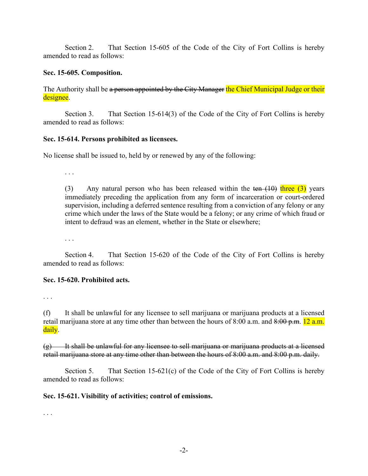Section 2. That Section 15-605 of the Code of the City of Fort Collins is hereby amended to read as follows:

### **Sec. 15-605. Composition.**

The Authority shall be a person appointed by the City Manager the Chief Municipal Judge or their designee.

 Section 3. That Section 15-614(3) of the Code of the City of Fort Collins is hereby amended to read as follows:

#### **Sec. 15-614. Persons prohibited as licensees.**

No license shall be issued to, held by or renewed by any of the following:

. . .

(3) Any natural person who has been released within the ten  $(10)$  three  $(3)$  years immediately preceding the application from any form of incarceration or court-ordered supervision, including a deferred sentence resulting from a conviction of any felony or any crime which under the laws of the State would be a felony; or any crime of which fraud or intent to defraud was an element, whether in the State or elsewhere;

. . .

 Section 4. That Section 15-620 of the Code of the City of Fort Collins is hereby amended to read as follows:

#### **Sec. 15-620. Prohibited acts.**

. . .

(f) It shall be unlawful for any licensee to sell marijuana or marijuana products at a licensed retail marijuana store at any time other than between the hours of 8:00 a.m. and 8:00 p.m. 12 a.m. daily.

 $(g)$  It shall be unlawful for any licensee to sell marijuana or marijuana products at a licensed retail marijuana store at any time other than between the hours of 8:00 a.m. and 8:00 p.m. daily.

Section 5. That Section 15-621(c) of the Code of the City of Fort Collins is hereby amended to read as follows:

# **Sec. 15-621. Visibility of activities; control of emissions.**

. . .